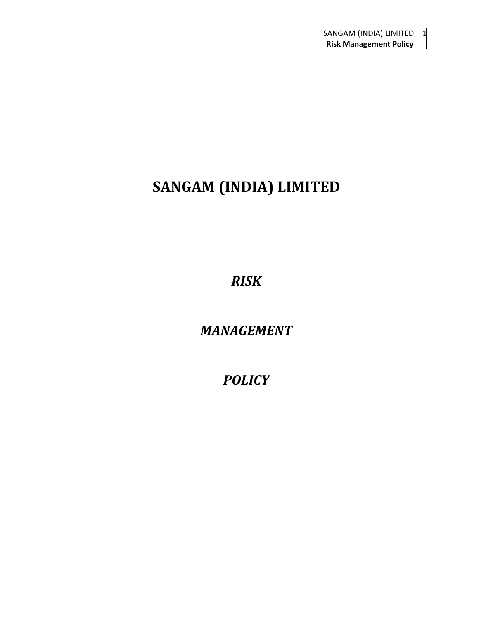# **SANGAM (INDIA) LIMITED**

*RISK*

*MANAGEMENT*

*POLICY*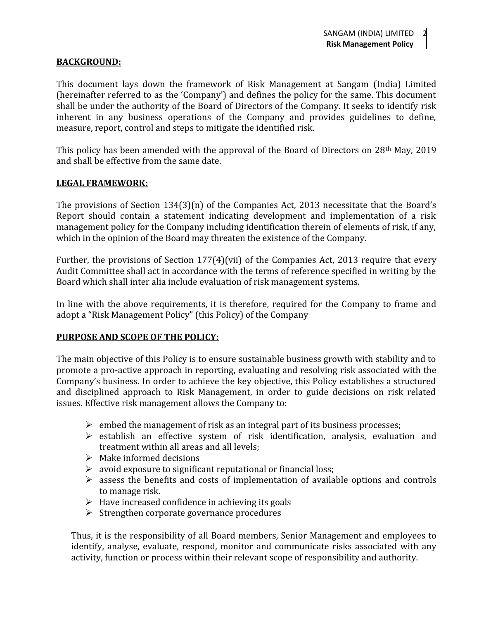#### **BACKGROUND:**

This document lays down the framework of Risk Management at Sangam (India) Limited (hereinafter referred to as the 'Company') and defines the policy for the same. This document shall be under the authority of the Board of Directors of the Company. It seeks to identify risk inherent in any business operations of the Company and provides guidelines to define, measure, report, control and steps to mitigate the identified risk.

This policy has been amended with the approval of the Board of Directors on 28th May, 2019 and shall be effective from the same date.

#### **LEGAL FRAMEWORK:**

The provisions of Section 134(3)(n) of the Companies Act, 2013 necessitate that the Board's Report should contain a statement indicating development and implementation of a risk management policy for the Company including identification therein of elements of risk, if any, which in the opinion of the Board may threaten the existence of the Company.

Further, the provisions of Section 177(4)(vii) of the Companies Act, 2013 require that every Audit Committee shall act in accordance with the terms of reference specified in writing by the Board which shall inter alia include evaluation of risk management systems.

In line with the above requirements, it is therefore, required for the Company to frame and adopt a "Risk Management Policy" (this Policy) of the Company

#### **PURPOSE AND SCOPE OF THE POLICY:**

The main objective of this Policy is to ensure sustainable business growth with stability and to promote a pro-active approach in reporting, evaluating and resolving risk associated with the Company's business. In order to achieve the key objective, this Policy establishes a structured and disciplined approach to Risk Management, in order to guide decisions on risk related issues. Effective risk management allows the Company to:

- $\triangleright$  embed the management of risk as an integral part of its business processes;
- $\triangleright$  establish an effective system of risk identification, analysis, evaluation and treatment within all areas and all levels;
- $\triangleright$  Make informed decisions
- $\triangleright$  avoid exposure to significant reputational or financial loss;
- $\triangleright$  assess the benefits and costs of implementation of available options and controls to manage risk.
- $\triangleright$  Have increased confidence in achieving its goals
- $\triangleright$  Strengthen corporate governance procedures

Thus, it is the responsibility of all Board members, Senior Management and employees to identify, analyse, evaluate, respond, monitor and communicate risks associated with any activity, function or process within their relevant scope of responsibility and authority.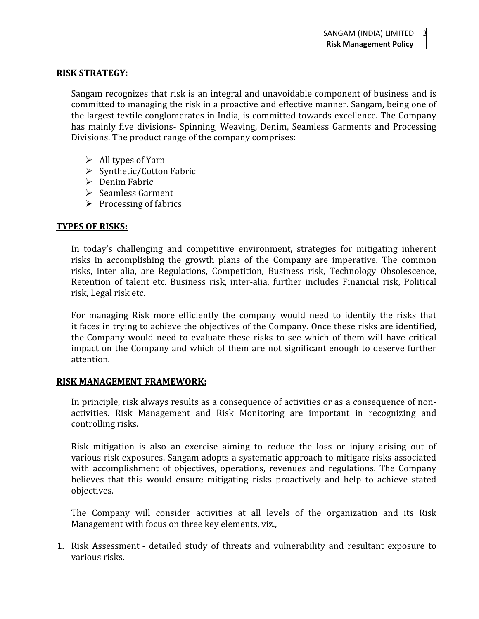#### **RISK STRATEGY:**

Sangam recognizes that risk is an integral and unavoidable component of business and is committed to managing the risk in a proactive and effective manner. Sangam, being one of the largest textile conglomerates in India, is committed towards excellence. The Company has mainly five divisions- Spinning, Weaving, Denim, Seamless Garments and Processing Divisions. The product range of the company comprises:

- $\triangleright$  All types of Yarn
- $\triangleright$  Synthetic/Cotton Fabric
- $\triangleright$  Denim Fabric
- $\triangleright$  Seamless Garment
- $\triangleright$  Processing of fabrics

#### **TYPES OF RISKS:**

In today's challenging and competitive environment, strategies for mitigating inherent risks in accomplishing the growth plans of the Company are imperative. The common risks, inter alia, are Regulations, Competition, Business risk, Technology Obsolescence, Retention of talent etc. Business risk, inter-alia, further includes Financial risk, Political risk, Legal risk etc.

For managing Risk more efficiently the company would need to identify the risks that it faces in trying to achieve the objectives of the Company. Once these risks are identified, the Company would need to evaluate these risks to see which of them will have critical impact on the Company and which of them are not significant enough to deserve further attention.

#### **RISK MANAGEMENT FRAMEWORK:**

In principle, risk always results as a consequence of activities or as a consequence of non activities. Risk Management and Risk Monitoring are important in recognizing and controlling risks.

Risk mitigation is also an exercise aiming to reduce the loss or injury arising out of various risk exposures. Sangam adopts a systematic approach to mitigate risks associated with accomplishment of objectives, operations, revenues and regulations. The Company believes that this would ensure mitigating risks proactively and help to achieve stated objectives.

The Company will consider activities at all levels of the organization and its Risk Management with focus on three key elements, viz.,

1. Risk Assessment - detailed study of threats and vulnerability and resultant exposure to various risks.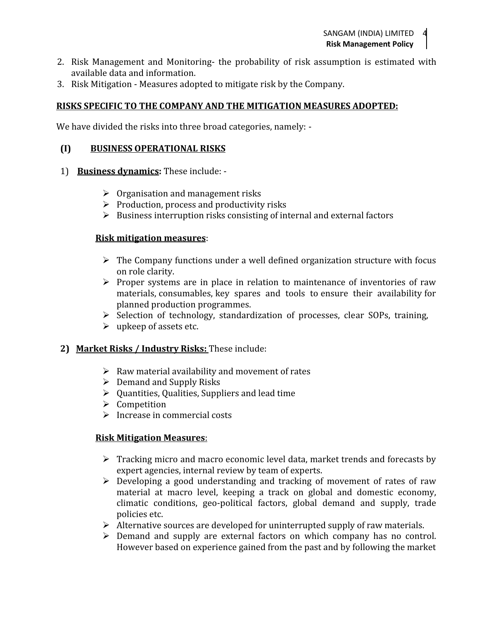- 2. Risk Management and Monitoring- the probability of risk assumption is estimated with available data and information.
- 3. Risk Mitigation Measures adopted to mitigate risk by the Company.

## **RISKS SPECIFIC TO THE COMPANY AND THE MITIGATION MEASURES ADOPTED:**

We have divided the risks into three broad categories, namely: -

#### **(I) BUSINESS OPERATIONAL RISKS**

- 1) **Business dynamics:** These include:
	- $\triangleright$  Organisation and management risks
	- $\triangleright$  Production, process and productivity risks
	- $\triangleright$  Business interruption risks consisting of internal and external factors

#### **Risk mitigation measures**:

- $\triangleright$  The Company functions under a well defined organization structure with focus on role clarity.
- $\triangleright$  Proper systems are in place in relation to maintenance of inventories of raw materials, consumables, key spares and tools to ensure their availability for planned production programmes.
- $\triangleright$  Selection of technology, standardization of processes, clear SOPs, training,
- $\triangleright$  upkeep of assets etc.

## **2) Market Risks / Industry Risks:** These include:

- $\triangleright$  Raw material availability and movement of rates
- $\triangleright$  Demand and Supply Risks
- $\triangleright$  Quantities, Qualities, Suppliers and lead time
- $\triangleright$  Competition
- $\triangleright$  Increase in commercial costs

#### **Risk Mitigation Measures**:

- $\triangleright$  Tracking micro and macro economic level data, market trends and forecasts by expert agencies, internal review by team of experts.
- Developing a good understanding and tracking of movement of rates of raw material at macro level, keeping a track on global and domestic economy, climatic conditions, geo-political factors, global demand and supply, trade policies etc.
- $\triangleright$  Alternative sources are developed for uninterrupted supply of raw materials.
- Demand and supply are external factors on which company has no control. However based on experience gained from the past and by following the market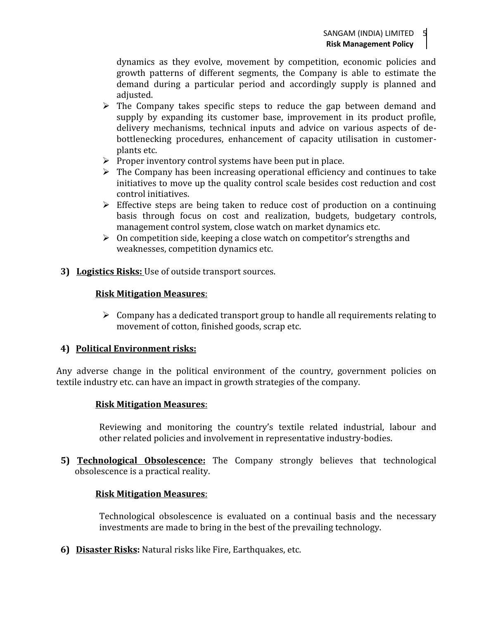dynamics as they evolve, movement by competition, economic policies and growth patterns of different segments, the Company is able to estimate the demand during a particular period and accordingly supply is planned and adjusted.

- $\triangleright$  The Company takes specific steps to reduce the gap between demand and supply by expanding its customer base, improvement in its product profile, delivery mechanisms, technical inputs and advice on various aspects of de bottlenecking procedures, enhancement of capacity utilisation in customer plants etc.
- $\triangleright$  Proper inventory control systems have been put in place.
- $\triangleright$  The Company has been increasing operational efficiency and continues to take initiatives to move up the quality control scale besides cost reduction and cost control initiatives.
- $\triangleright$  Effective steps are being taken to reduce cost of production on a continuing basis through focus on cost and realization, budgets, budgetary controls, management control system, close watch on market dynamics etc.
- $\geq 0$ n competition side, keeping a close watch on competitor's strengths and weaknesses, competition dynamics etc.
- **3) Logistics Risks:** Use of outside transport sources.

# **Risk Mitigation Measures**:

 $\triangleright$  Company has a dedicated transport group to handle all requirements relating to movement of cotton, finished goods, scrap etc.

## **4) Political Environment risks:**

Any adverse change in the political environment of the country, government policies on textile industry etc. can have an impact in growth strategies of the company.

## **Risk Mitigation Measures**:

Reviewing and monitoring the country's textile related industrial, labour and other related policies and involvement in representative industry-bodies.

**5) Technological Obsolescence:** The Company strongly believes that technological obsolescence is a practical reality.

# **Risk Mitigation Measures**:

Technological obsolescence is evaluated on a continual basis and the necessary investments are made to bring in the best of the prevailing technology.

**6) Disaster Risks:** Natural risks like Fire, Earthquakes, etc.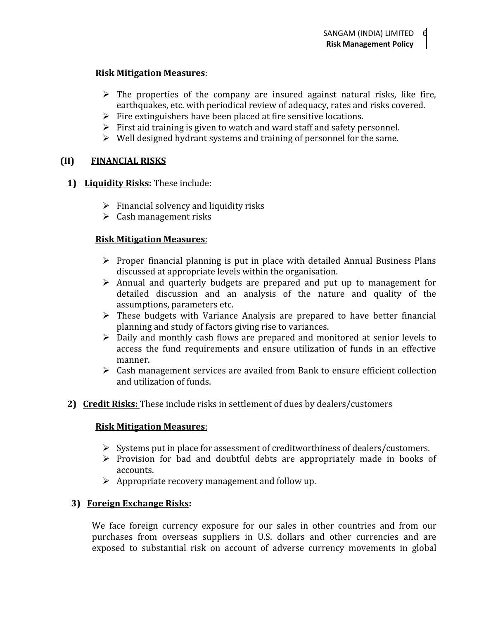## **Risk Mitigation Measures**:

- $\triangleright$  The properties of the company are insured against natural risks, like fire, earthquakes, etc. with periodical review of adequacy, rates and risks covered.
- $\triangleright$  Fire extinguishers have been placed at fire sensitive locations.
- $\triangleright$  First aid training is given to watch and ward staff and safety personnel.
- $\triangleright$  Well designed hydrant systems and training of personnel for the same.

# **(II) FINANCIAL RISKS**

- **1) Liquidity Risks:** These include:
	- $\triangleright$  Financial solvency and liquidity risks
	- $\triangleright$  Cash management risks

# **Risk Mitigation Measures**:

- $\triangleright$  Proper financial planning is put in place with detailed Annual Business Plans discussed at appropriate levels within the organisation.
- $\triangleright$  Annual and quarterly budgets are prepared and put up to management for detailed discussion and an analysis of the nature and quality of the assumptions, parameters etc.
- $\triangleright$  These budgets with Variance Analysis are prepared to have better financial planning and study of factors giving rise to variances.
- $\triangleright$  Daily and monthly cash flows are prepared and monitored at senior levels to access the fund requirements and ensure utilization of funds in an effective manner.
- $\triangleright$  Cash management services are availed from Bank to ensure efficient collection and utilization of funds.
- **2) Credit Risks:** These include risks in settlement of dues by dealers/customers

## **Risk Mitigation Measures**:

- $\triangleright$  Systems put in place for assessment of creditworthiness of dealers/customers.
- $\triangleright$  Provision for bad and doubtful debts are appropriately made in books of accounts.
- $\triangleright$  Appropriate recovery management and follow up.

# **3) Foreign Exchange Risks:**

We face foreign currency exposure for our sales in other countries and from our purchases from overseas suppliers in U.S. dollars and other currencies and are exposed to substantial risk on account of adverse currency movements in global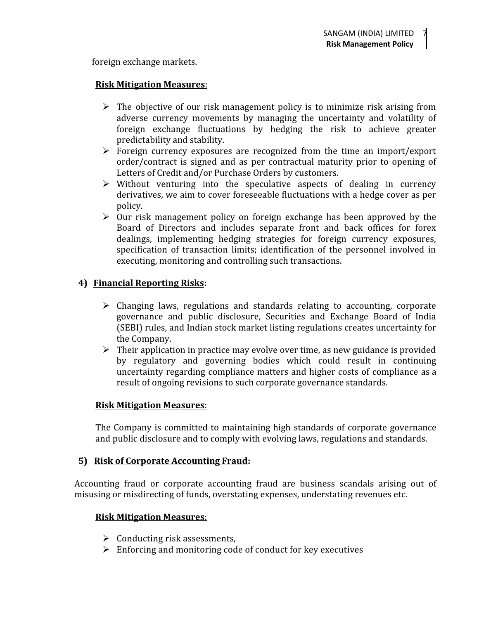foreign exchange markets.

#### **Risk Mitigation Measures**:

- $\triangleright$  The objective of our risk management policy is to minimize risk arising from adverse currency movements by managing the uncertainty and volatility of foreign exchange fluctuations by hedging the risk to achieve greater predictability and stability.
- Foreign currency exposures are recognized from the time an import/export order/contract is signed and as per contractual maturity prior to opening of Letters of Credit and/or Purchase Orders by customers.
- $\triangleright$  Without venturing into the speculative aspects of dealing in currency derivatives, we aim to cover foreseeable fluctuations with a hedge cover as per policy.
- $\triangleright$  Our risk management policy on foreign exchange has been approved by the Board of Directors and includes separate front and back offices for forex dealings, implementing hedging strategies for foreign currency exposures, specification of transaction limits; identification of the personnel involved in executing, monitoring and controlling such transactions.

# **4) Financial Reporting Risks:**

- $\triangleright$  Changing laws, regulations and standards relating to accounting, corporate governance and public disclosure, Securities and Exchange Board of India (SEBI) rules, and Indian stock market listing regulations creates uncertainty for the Company.
- $\triangleright$  Their application in practice may evolve over time, as new guidance is provided by regulatory and governing bodies which could result in continuing uncertainty regarding compliance matters and higher costs of compliance as a result of ongoing revisions to such corporate governance standards.

## **Risk Mitigation Measures**:

The Company is committed to maintaining high standards of corporate governance and public disclosure and to comply with evolving laws, regulations and standards.

## **5) Risk of Corporate Accounting Fraud:**

Accounting fraud or corporate accounting fraud are business scandals arising out of misusing or misdirecting of funds, overstating expenses, understating revenues etc.

## **Risk Mitigation Measures**:

- $\triangleright$  Conducting risk assessments,
- $\triangleright$  Enforcing and monitoring code of conduct for key executives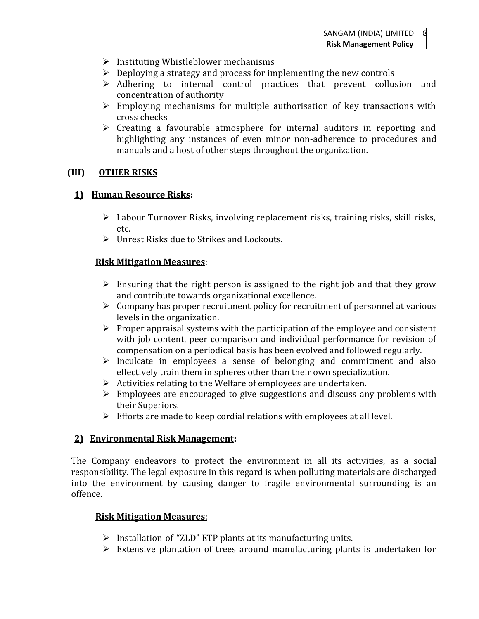- $\triangleright$  Instituting Whistleblower mechanisms
- $\triangleright$  Deploying a strategy and process for implementing the new controls
- $\triangleright$  Adhering to internal control practices that prevent collusion and concentration of authority
- $\triangleright$  Employing mechanisms for multiple authorisation of key transactions with cross checks
- $\triangleright$  Creating a favourable atmosphere for internal auditors in reporting and highlighting any instances of even minor non-adherence to procedures and manuals and a host of other steps throughout the organization.

## **(III) OTHER RISKS**

## **1) Human Resource Risks:**

- $\triangleright$  Labour Turnover Risks, involving replacement risks, training risks, skill risks, etc.
- Unrest Risks due to Strikes and Lockouts.

# **Risk Mitigation Measures**:

- $\triangleright$  Ensuring that the right person is assigned to the right job and that they grow and contribute towards organizational excellence.
- $\triangleright$  Company has proper recruitment policy for recruitment of personnel at various levels in the organization.
- $\triangleright$  Proper appraisal systems with the participation of the employee and consistent with job content, peer comparison and individual performance for revision of compensation on a periodical basis has been evolved and followed regularly.
- $\triangleright$  Inculcate in employees a sense of belonging and commitment and also effectively train them in spheres other than their own specialization.
- $\triangleright$  Activities relating to the Welfare of employees are undertaken.
- $\triangleright$  Employees are encouraged to give suggestions and discuss any problems with their Superiors.
- $\triangleright$  Efforts are made to keep cordial relations with employees at all level.

## **2) Environmental Risk Management:**

The Company endeavors to protect the environment in all its activities, as a social responsibility. The legal exposure in this regard is when polluting materials are discharged into the environment by causing danger to fragile environmental surrounding is an offence.

## **Risk Mitigation Measures**:

- $\triangleright$  Installation of "ZLD" ETP plants at its manufacturing units.
- $\triangleright$  Extensive plantation of trees around manufacturing plants is undertaken for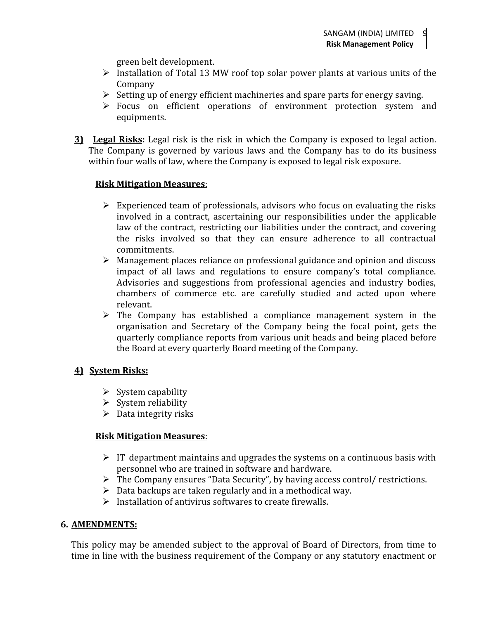green belt development.

- $\triangleright$  Installation of Total 13 MW roof top solar power plants at various units of the Company<br>Setting up of energy efficient machineries and spare parts for energy saving.
- 
- $\triangleright$  Focus on efficient operations of environment protection system and equipments.
- **3) Legal Risks:** Legal risk is the risk in which the Company is exposed to legal action. The Company is governed by various laws and the Company has to do its business within four walls of law, where the Company is exposed to legal risk exposure.

## **Risk Mitigation Measures**:

- $\triangleright$  Experienced team of professionals, advisors who focus on evaluating the risks involved in a contract, ascertaining our responsibilities under the applicable law of the contract, restricting our liabilities under the contract, and covering the risks involved so that they can ensure adherence to all contractual commitments.
- $\triangleright$  Management places reliance on professional guidance and opinion and discuss impact of all laws and regulations to ensure company's total compliance. Advisories and suggestions from professional agencies and industry bodies, chambers of commerce etc. are carefully studied and acted upon where relevant.
- $\triangleright$  The Company has established a compliance management system in the organisation and Secretary of the Company being the focal point, gets the quarterly compliance reports from various unit heads and being placed before the Board at every quarterly Board meeting of the Company.

## **4) System Risks:**

- $\triangleright$  System capability
- $\triangleright$  System reliability
- $\triangleright$  Data integrity risks

## **Risk Mitigation Measures**:

- $\triangleright$  IT department maintains and upgrades the systems on a continuous basis with personnel who are trained in software and hardware.
- $\triangleright$  The Company ensures "Data Security", by having access control/ restrictions.
- $\triangleright$  Data backups are taken regularly and in a methodical way.
- $\triangleright$  Installation of antivirus softwares to create firewalls.

## **6. AMENDMENTS:**

This policy may be amended subject to the approval of Board of Directors, from time to time in line with the business requirement of the Company or any statutory enactment or